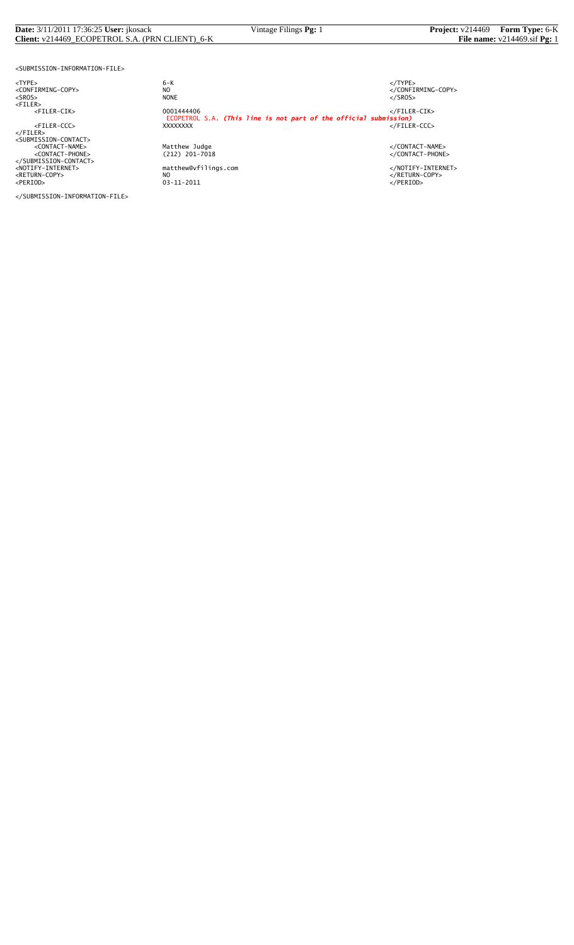#### **Date:** 3/11/2011 17:36:25 **User:** jkosack Vintage Filings **Pg:** 1 **Project:** v214469 **Form Type:** 6-K **Client:** v214469\_ECOPETROL S.A. (PRN CLIENT)\_6-K **File name:** v214469.sif **Pg:** 1

<SUBMISSION-INFORMATION-FILE>

<NOTIFY-INTERNET> matthew@vfilings.com </NOTIFY-INTERNET> <RETURN-COPY> NO </RETURN-COPY> <PERIOD> 03-11-2011 </PERIOD>

</SUBMISSION-INFORMATION-FILE>

<TYPE> 6-K </TYPE> essence<br>
NO<br>
NO CONFIRMING-COPY><br>
NONE<br>
</SROS> <SROS> NONE </SROS> <FILER> <FILER-CIK> 0001444406 </FILER-CIK> ECOPETROL S.A. *(This line is not part of the official submission)* <FILER-CCC> XXXXXXXX </FILER-CCC> </FILER><br><SUBMISSION-CONTACT><br><CONTACT-NAME> </CONTACT-NAME></CONTACT-NAME><br><</CONTACT-PHONE></CONTACT-PHONE></CONTACT-PHONE><br></SUBMISSION-CONTACT>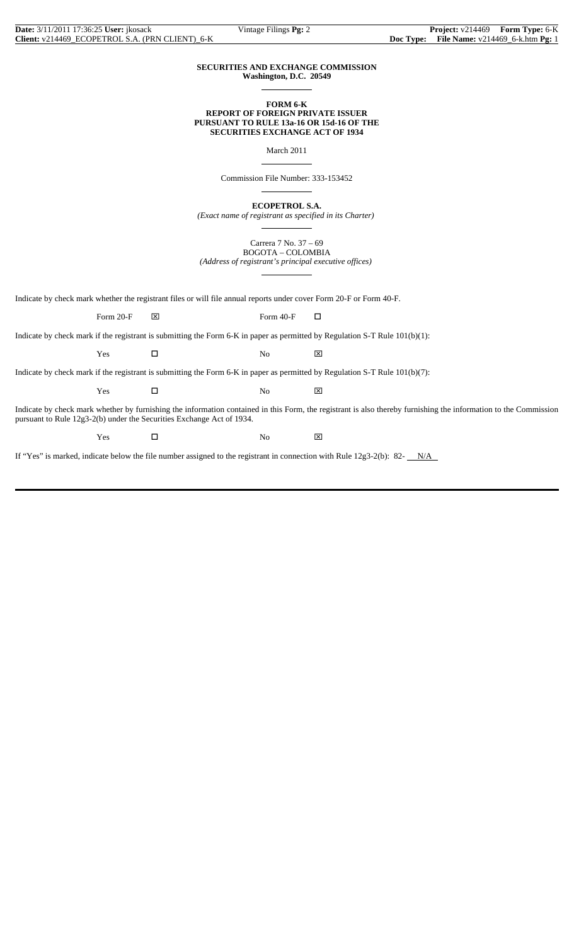#### **SECURITIES AND EXCHANGE COMMISSION Washington, D.C. 20549**

 $\overline{a}$ 

 $\overline{a}$ 

 $\overline{a}$ 

 $\overline{a}$ 

 $\overline{a}$ 

### **FORM 6-K REPORT OF FOREIGN PRIVATE ISSUER PURSUANT TO RULE 13a-16 OR 15d-16 OF THE SECURITIES EXCHANGE ACT OF 1934**

March 2011

Commission File Number: 333-153452

**ECOPETROL S.A.**

*(Exact name of registrant as specified in its Charter)*

Carrera 7 No. 37 – 69 BOGOTA – COLOMBIA *(Address of registrant's principal executive offices)*

Indicate by check mark whether the registrant files or will file annual reports under cover Form 20-F or Form 40-F.

Form 20-F  $\boxtimes$  Form 40-F  $\Box$ 

Indicate by check mark if the registrant is submitting the Form 6-K in paper as permitted by Regulation S-T Rule 101(b)(1):

Yes □ No ⊠

Indicate by check mark if the registrant is submitting the Form 6-K in paper as permitted by Regulation S-T Rule 101(b)(7):

 $Yes$   $\Box$  No  $\boxtimes$ 

Indicate by check mark whether by furnishing the information contained in this Form, the registrant is also thereby furnishing the information to the Commission pursuant to Rule 12g3-2(b) under the Securities Exchange Act of 1934.

 $Yes$   $\square$  No  $\boxtimes$ 

If "Yes" is marked, indicate below the file number assigned to the registrant in connection with Rule  $12g3-2(b)$ : 82- $N/A$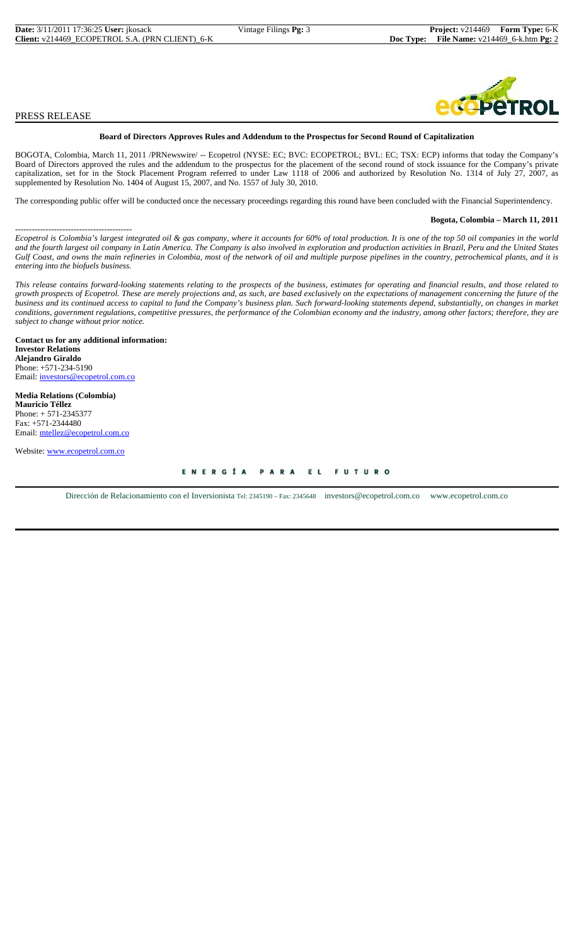## PRESS RELEASE

### **Board of Directors Approves Rules and Addendum to the Prospectus for Second Round of Capitalization**

BOGOTA, Colombia, March 11, 2011 /PRNewswire/ -- Ecopetrol (NYSE: EC; BVC: ECOPETROL; BVL: EC; TSX: ECP) informs that today the Company's Board of Directors approved the rules and the addendum to the prospectus for the placement of the second round of stock issuance for the Company's private capitalization, set for in the Stock Placement Program referred to under Law 1118 of 2006 and authorized by Resolution No. 1314 of July 27, 2007, as supplemented by Resolution No. 1404 of August 15, 2007, and No. 1557 of July 30, 2010.

The corresponding public offer will be conducted once the necessary proceedings regarding this round have been concluded with the Financial Superintendency.

#### **Bogota, Colombia – March 11, 2011**

------------------------------------------ *Ecopetrol is Colombia's largest integrated oil & gas company, where it accounts for 60% of total production. It is one of the top 50 oil companies in the world and the fourth largest oil company in Latin America. The Company is also involved in exploration and production activities in Brazil, Peru and the United States Gulf Coast, and owns the main refineries in Colombia, most of the network of oil and multiple purpose pipelines in the country, petrochemical plants, and it is entering into the biofuels business.*

*This release contains forward-looking statements relating to the prospects of the business, estimates for operating and financial results, and those related to growth prospects of Ecopetrol. These are merely projections and, as such, are based exclusively on the expectations of management concerning the future of the business and its continued access to capital to fund the Company's business plan. Such forward-looking statements depend, substantially, on changes in market conditions, government regulations, competitive pressures, the performance of the Colombian economy and the industry, among other factors; therefore, they are subject to change without prior notice.*

**Contact us for any additional information: Investor Relations Alejandro Giraldo** Phone: +571-234-5190 Email: investors@ecopetrol.com.co

**Media Relations (Colombia) Mauricio Téllez** Phone: + 571-2345377 Fax: +571-2344480 Email: mtellez@ecopetrol.com.co

Website: www.ecopetrol.com.co

ENERGÍA PARA EL **FUTURO** 

Dirección de Relacionamiento con el Inversionista Tel: 2345190 – Fax: 2345648 investors@ecopetrol.com.co www.ecopetrol.com.co

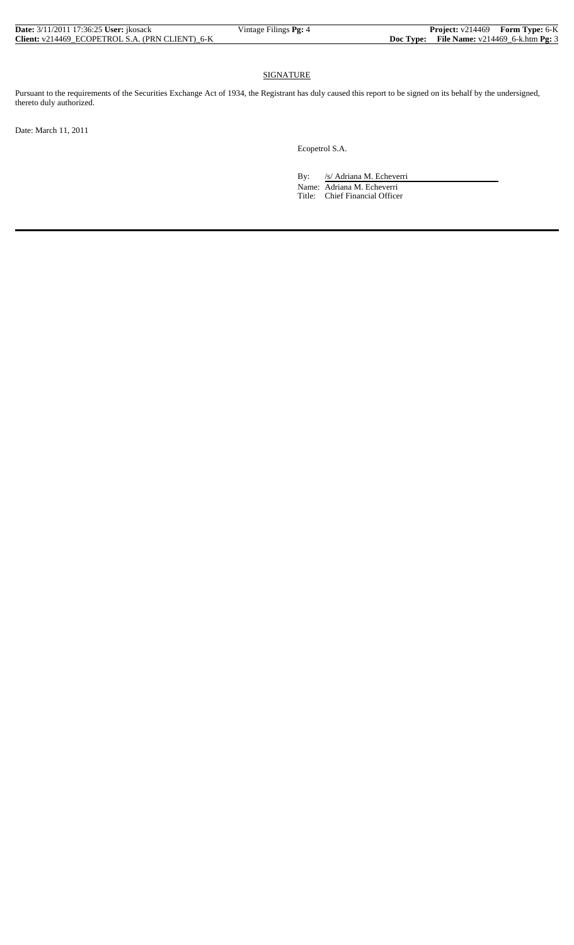| <b>Date:</b> 3/11/2011 17:36:25 User: ikosack   | Vintage Filings <b>Pg:</b> 4 | <b>Project:</b> v214469 Form Type: 6-K               |  |
|-------------------------------------------------|------------------------------|------------------------------------------------------|--|
| Client: v214469 ECOPETROL S.A. (PRN CLIENT) 6-K |                              | <b>Doc Type:</b> File Name: $v214469_6$ -k.htm Pg: 3 |  |

# SIGNATURE

Pursuant to the requirements of the Securities Exchange Act of 1934, the Registrant has duly caused this report to be signed on its behalf by the undersigned, thereto duly authorized.

Date: March 11, 2011

Ecopetrol S.A.

By: /s/ Adriana M. Echeverri Name: Adriana M. Echeverri Title: Chief Financial Officer